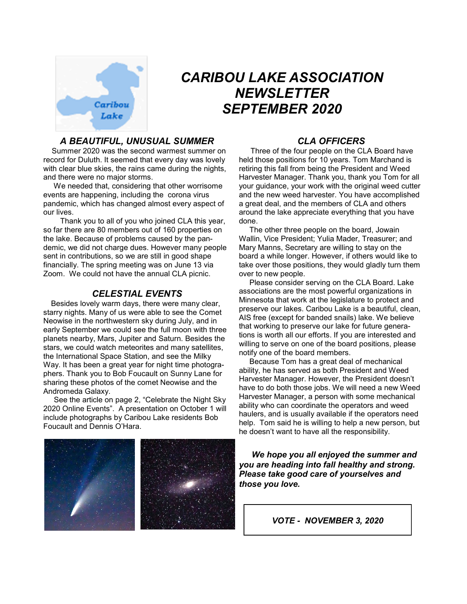

# *CARIBOU LAKE ASSOCIATION NEWSLETTER SEPTEMBER 2020*

# *A BEAUTIFUL, UNUSUAL SUMMER*

 Summer 2020 was the second warmest summer on record for Duluth. It seemed that every day was lovely with clear blue skies, the rains came during the nights, and there were no major storms.

 We needed that, considering that other worrisome events are happening, including the corona virus pandemic, which has changed almost every aspect of our lives.

 Thank you to all of you who joined CLA this year, so far there are 80 members out of 160 properties on the lake. Because of problems caused by the pandemic, we did not charge dues. However many people sent in contributions, so we are still in good shape financially. The spring meeting was on June 13 via Zoom. We could not have the annual CLA picnic.

## *CELESTIAL EVENTS*

Besides lovely warm days, there were many clear, starry nights. Many of us were able to see the Comet Neowise in the northwestern sky during July, and in early September we could see the full moon with three planets nearby, Mars, Jupiter and Saturn. Besides the stars, we could watch meteorites and many satellites, the International Space Station, and see the Milky Way. It has been a great year for night time photographers. Thank you to Bob Foucault on Sunny Lane for sharing these photos of the comet Neowise and the Andromeda Galaxy.

 See the article on page 2, "Celebrate the Night Sky 2020 Online Events". A presentation on October 1 will include photographs by Caribou Lake residents Bob Foucault and Dennis O'Hara.

# *CLA OFFICERS*

 Three of the four people on the CLA Board have held those positions for 10 years. Tom Marchand is retiring this fall from being the President and Weed Harvester Manager. Thank you, thank you Tom for all your guidance, your work with the original weed cutter and the new weed harvester. You have accomplished a great deal, and the members of CLA and others around the lake appreciate everything that you have done.

 The other three people on the board, Jowain Wallin, Vice President; Yulia Mader, Treasurer; and Mary Manns, Secretary are willing to stay on the board a while longer. However, if others would like to take over those positions, they would gladly turn them over to new people.

 Please consider serving on the CLA Board. Lake associations are the most powerful organizations in Minnesota that work at the legislature to protect and preserve our lakes. Caribou Lake is a beautiful, clean, AIS free (except for banded snails) lake. We believe that working to preserve our lake for future generations is worth all our efforts. If you are interested and willing to serve on one of the board positions, please notify one of the board members.

 Because Tom has a great deal of mechanical ability, he has served as both President and Weed Harvester Manager. However, the President doesn't have to do both those jobs. We will need a new Weed Harvester Manager, a person with some mechanical ability who can coordinate the operators and weed haulers, and is usually available if the operators need help. Tom said he is willing to help a new person, but he doesn't want to have all the responsibility.

 *We hope you all enjoyed the summer and you are heading into fall healthy and strong. Please take good care of yourselves and those you love.*